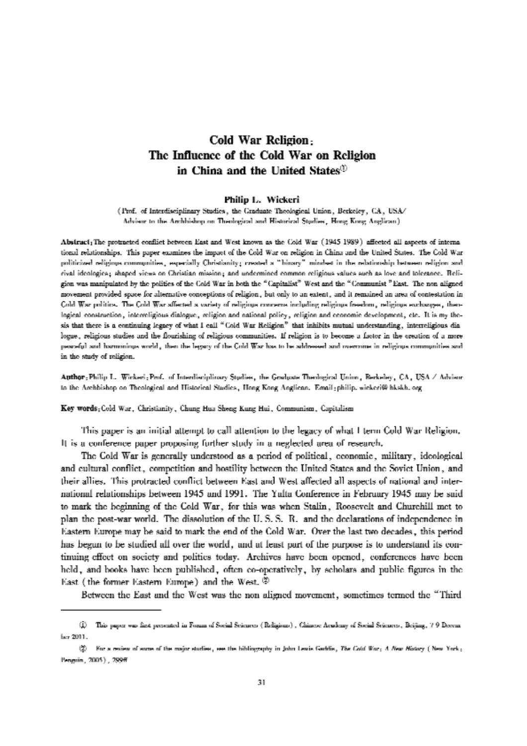# Cold War Religion: The Influence of the Cold War on Religion in China and the United States $\mathbb O$

#### Philip L. Wickeri

(Prof. of Interdisciplinary Studies, the Craduate Theological Union, Berkeley, CA, USA/ Advisor to the Archbishop on Theological and Historical Studies, Hong Kong Anglican).

Abstract<sub>1</sub>The protracted conflict between East and West known as the Cold War (1945-1989) affected all aspects of international relationships. This paper examines the impact of the Cold War on religion in China and the United States. The Cold War politicized religious communities, especially Christianity; created a "binary" mindset in the relationship between religion and rival ideologica; shaped views on Christian mission; and undermined common religious values such as love and tolerance. Religion was manipulated by the polities of the Cold War in both the "Capitalist" West and the "Communist" East. The non aligned movement provided space for alternative conceptions of religion, but only to an extent, and it remained an area of contestation in Cold War politics. The Cold War affected a variety of religious concerns including religious freedom, religious exchanges, theological construction, interreligious dialogue, religion and national policy, religion and cennomic development, etc. It is my thesis that there is a continuing legacy of what I call "Cold War Religion" that inhibits mutual understanding, interreligious dia logue, religious studies and the flourishing of religious communities. If religion is to become a factor in the orgation of a more pearsful and harmoninus world, then the legacy of the Cold War has to be addressed and overcome in religious communities and in the study of religion.

Author: Philip L. Wickeri: Prof. of Interdisciplinary Studies, the Graduate Theological Union, Berkeley, CA, USA / Advisor to the Archbishop on Theological and Historical Studies, Hong Kong Anglican. Email: philip. wickeri@ hkskh. org

Key words; Cold War, Christianity, Chung Hua Sheng Kung Hui, Communism, Capitalism

This paper is an initial attempt to call attention to the legacy of what I term Cold War Religion, It is a conference paper proposing further study in a neglected area of research.

The Cold War is generally understood as a period of political, economic, military, ideological and cultural conflict, competition and hostility between the United States and the Soviet Union, and their allies. This protracted conflict between East and West affected all aspects of national and international relationships between 1945 and 1991. The Yalta Conference in February 1945 may be said to mark the heginning of the Cold War, for this was when Stalin, Roosevelt and Churchill met to plan the post-war world. The dissolution of the U.S.S. R. and the declarations of independence in Eastern Europe may be said to mark the end of the Cold War. Over the last two decades, this period has begun to be studied all over the world, and at least part of the purpose is to understand its continuing effect on society and politics today. Archives have been opened, conferences have been held, and books have been published, often co-operatively, by scholars and public figures in the East (the former Eastern Europe) and the West.

Between the East and the West was the non aligned movement, sometimes termed the "Third

<sup>(</sup>i) This paper was first presented in Forum of Social Sciences (Religions), Chinese Acudemy of Social Sciences, Beijing, 7 9 Decem ber 2011.

<sup>(2)</sup> For a review of some of the major studies, see the bibliography in John Lewis Gaddis, The Cold War: A New Hatary (New York: Penguin, 2005), 299ff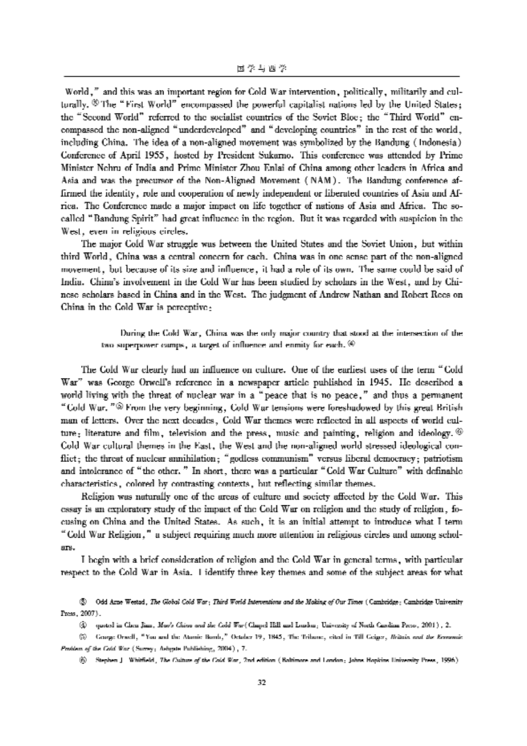World," and this was an important region for Cold War intervention, politically, militarily and culturally. ® The "First World" encompassed the powerful capitalist nations led by the United States; the " Second World" referred to the socialist countries of the Soviet Bloc; the " Third World" encompassed the non—aligned " underdeveloped" and "developing countries" in the rest of the world, including China. The idea of a non-aligned movement was symbolized by the Bandung (Indonesia) Conference of April 1955, hosted by President Sukarno. This conference was attended by Prime Minister Nehru of India and Prime Minister Zhou Enlai of China among other leaders in Africa and Asia and was the precursor of the Non-Aligned Movement (NAM). The Bandung conference affirmed the identity, role and cooperation of newly independent or liberated countries of Asia and Africa. The Conference made a major impact on life together of nations of Asia and Africa. The socalled " Bandung Spirit" had great influence in the region. But it was regarded with suspicion in the West, even in religious circles.

The major Cold War struggle was between the United States and the Soviet Union, but within third World, China was a central concern for each. China was in one sense part of the non-aligned movement, but because of its size and influence, it had a role of its own. The same could be said of India. China's involvement in the Cold War has been studied by scholars in the West, and by Chinese scholars based in China and in the West. The judgment of Andrew Nathan and Robert Rees on China in the Cold War is perceptive:

During the Cold War, China was the only major country that stood at the intersection of the two superpower camps, a target of influence and enmity for each.  $\circledast$ 

The Cold War clearly had an influence on culture. One of the earliest uses of the term " Cold War" was George 0rwell's reference in a newspaper article published in 1945. He described a world living with the threat of nuclear war in a "peace that is no peace," and thus a permanent "Cold War. "® From the very beginning, Cold War tensions were foreshadowed by this great British man of letters. Over the next decades, Cold War themes were reflected in all aspects of world culture; literature and film, television and the press, music and painting, religion and ideology.  $\circledast$ Cold War cultural themes in the East, the West and the non-aligned world stressed ideological conflict; the threat of nuclear annihilation; " godless communism" versus liberal democracy; patriotism and intolerance of "the other." In short, there was a particular "Cold War Culture" with definable characteristics, colored by contrasting contexts, but reflecting similar themes.

Religion was naturally one of the areas of culture and society affected by the Cold War. This essay is an exploratory study of the impact of the Cold War on religion and the study of religion, focusing on China and the United States. As such, it is an initial attempt to introduce what I term " Cold War Religion," a subject requiring much more attention in religious circles and among scholars.

I begin with a brief consideration of religion and the Cold War in general terms, with particular respect to the Cold War in Asia. I identify three key themes and some of the subject areas for what

 $\circledS$  Odd Arne Westad, The Global Cold War; Third World Interventions and the Making of Our Times (Cambridge; Cambridge University Press, 2007).

 $@$  quoted in Chen Jian, Man's China and the Cold War (Chapel Hill and Loudon; University of North Carolinn Press, 2001), 2.

 $@$  George Orwell, "You and the Atomic Bomb," October 19, 1845, The Tribune, cited in Till Geiger, Britain and the Ermonuic Problem of the Cold War (Surrey; Ashgate Publishing, 2004), 7.

 $\hat{y}$  Stephen J. Whitfield, The Culture of the Cold War, 2nd edition (Baltimore and London; Johns Hopkins University Press, 1996).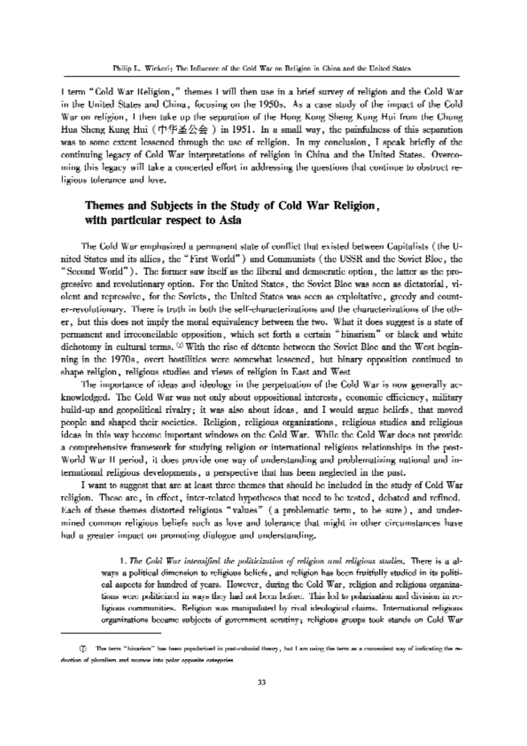I term " Cold War Religion," themes I will then use in a brief survey of religion and the Cold War in the United States and China, focusing on the 1950s. As a case study of the impact of the Cold War on religion, I then take up the separation of the Hong Kong Sheng Kung Hui from tlle Chung Hua Sheng Kung Hui (中华圣公会) in 1951. In a small way, the painfulness of this separation was to some extent lessened through the use of religion. In my conclusion, I speak briefly of the continuing legacy of Cold War interpretations of religion in China and the United States. Overcoming this legacy will take a concerted effort in addressing the questions that continue to obstruct religious tolerance and love.

### Themes and Subjects in the Study of Cold War Religion, with particular respect to Asia

The Cold War emphasized a permanent state of conflict that existed between Capitalists (the United States and its allies, the "First World") and Communists (the USSR and the Soviet Bloc, the "Second World"). The former saw itself as the liberal and democratic option, the latter as the progressive and revolutionary option. For the United States, the Soviet Bloc was seen as dictatorial, violent and repressive, for the Soviets, the United States was seen as exploitative, greedy and counter-revolutionary. There is truth in both the self-characterizations and the characterizations of the other, but this does not imply the moral equivalency between the two. What it does suggest is a state of permanent and irreconcilable opposition, which set forth a certain "binarism" or black and white dichotomy in cultural terms.  $\heartsuit$  With the rise of détente between the Soviet Bloc and the West beginning in the 1970s, overt hostilities were somewhat lessened, but binary opposition continued to shape religion, religious studies and views of religion in East and West

The importance of ideas and ideology in the perpetuation of the Cold War is now generally acknowledged. The Cold War was not only about oppositional interests, economic efliciency, military build-up and geopolitical rivalry; it was also about ideas, and I would argue beliefs, that moved people and shaped their societies. Religion, religious organizations, religious studies and religious ideas in this way become important windows on the Cold War. While the Cold War does not provide a comprehensive framework for studying religion or international religious relationships in the post-World War II period, it does provide one way of understanding and problematizing national and international religious developments, a perspective that has been neglected in the past.

I want to suggest that are at least three themes that should be included in the study of Cold War religion. These are, in effect, inter-related hypotheses that need to be tested, debated and refined. Each of these themes distorted religious ''values'' (a problematic term, to be sure) , and undermined common religious beliefs such as love and tolerance that might in other circumstances have had a greater impact on promoting dialogue and understanding.

> 1. The Cold War intensified the politicization of religion and religious studies. There is a always a political dimension to religious beliefs, and religion has been fruitfully studied in its political aspects for hundred of years. However, during the Cold War, religion and religious organizations were politicized in ways they had not been before. This led to polarization and division in religious communities. Religion was manipulated by rival ideological claims. International religious organizations became subjects of government serutiny; religious groups took stands on Cold War

<sup>@</sup> The term "hinarism" in loan [mpillarimd in pnsbenltminl theory, but <sup>1</sup> am using the term on <sup>a</sup> convenient way of indicating the reduction of pluralism and nuance into polar opposite oategories.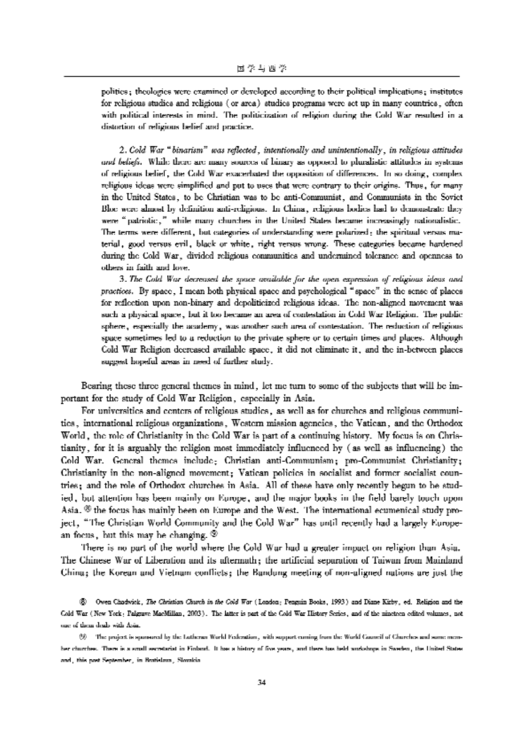politics; theologies were examined or developed according to their political implications; institutes for religious studies and religious (or area) studies programs were set up in many countries, often with political interests in mind. The politicization of religion during the Cold War resulted in a distortion of religious belief and practice.

2. Cold War "binarism" was reflected, intentionally and unintentionally, in religious attitudes and beliefs. While there are many sources of binary as opposed to pluralistic attitudes in systems of religious belief, the Cold War exacerbated the opposition of differences. In so doing, complex religious ideas were simplified and put to uses that were contrary to their origins. Thus, for many in the United States, to be Christian was to be anti-Communist, and Communists in the Soviet Bloc were almost by definition anti-religious. In China, religious bodies had to demonstrate they were "patriotic," while many churches in the United States became increasingly nationalistic. The terms were different, but categories of understanding were polarized: the spiritual versus material, good versus evil, black or white, right versus wrong. These categories became hardened during the Cold War, divided religious communities and undermined tolerance and openness to others in faith and love.

3. The Cold War decreased the space available for the open expression of religious ideas and practices. By space, I mean both physical space and psychological "space" in the sense of places for reflection upon non-binary and depoliticized religious ideas. The non-aligned movement was such a physical space, but it too became an area of contestation in Cold War Religion. The public sphere, especially the academy, was another such area of contestation. The reduction of religious space sometimes led to a reduction to the private sphere or to certain times and places. Although Cold War Religion decreased available space, it did not eliminate it, and the in-between places suggest hopeful areas in need of further study.

Bearing these three general themes in mind, let me turn to some of the subjects that will be important for the study of Cold War Religion, especially in Asia.

For universities and centers of religious studies, as well as for churches and religious communitics, international religious organizations, Western mission agencies, the Vatican, and the Orthodox World, the role of Christianity in the Cold War is part of a continuing history. My focus is on Christianity, for it is arguably the religion most immediately influenced by (as well as influencing) the Cold War. General themes include: Christian anti-Communism; pro-Communist Christianity; Christianity in the non-aligned movement; Vatican policies in socialist and former socialist countries; and the role of Orthodox churches in Asia. All of these have only recently begun to be studied, but attention has been mainly on Europe, and the major books in the field barely touch upon Asia.  $\%$  the focus has mainly been on Europe and the West. The international ecumenical study project, "The Christian World Community and the Cold War" has until recently had a largely European focus, but this may be changing.  $\circledast$ 

There is no part of the world where the Cold War had a greater impact on religion than Asia. The Chinese War of Liberation and its aftermath; the artificial separation of Taiwan from Mainland China; the Korean and Vietnam conflicts; the Bandung meeting of non-aligned nations are just the

(§) Owen Chadwick, The Christian Church in the Cold War (London; Penguin Books, 1993) and Diane Kirby, ed. Religion and the Cold War (New York: Palgrave MacMillan, 2003). The latter is part of the Cold War History Series, and of the nineteen edited volumes, not one of them deals with Asia.

(9) The project is spansored by the Latheran World Federation, with support coming from the World Council of Churches and some member churches. There is a small secretariat in Kinland. It has a history of five years, and there has held workshops in Sweden, the United States and, this post September, in Bratislava, Slovakia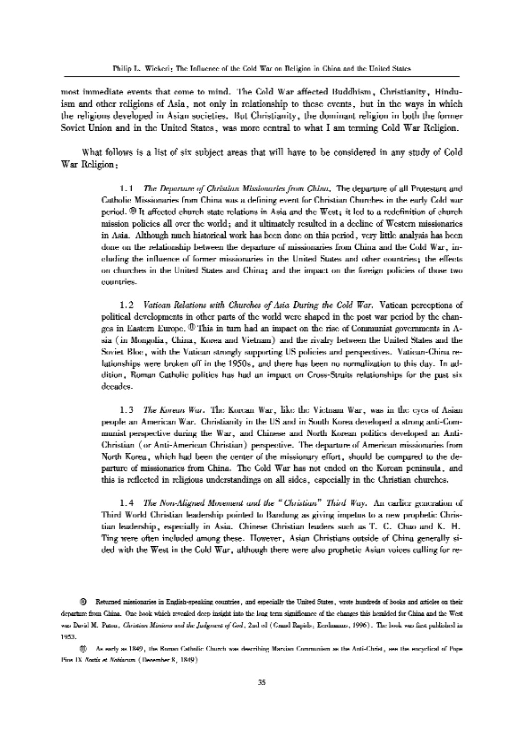most immediate events that come to mind. The Cold War aflected Buddhism, Christianity, Hinduism and other religions of Asia, not only in relationship to these events, but in the ways in which the religions developed in Asian societies. But Christianity, the dominant religion in both the former Soviet Union and in the United States, was more central to what I am terming Cold War Religion.

What follows is a list of six subject areas that will have to he considered in any study of Cold War Religion;

> 1.1 The Departure of Christian Missionaries from China. The departure of all Protestant and Catholic Missionaries from China was a defining event for Christian Churches in the early Cold war period. ® It affected church-state relations in Asia and the West; it led to a redefinition of church mission policies all over the world; and it ultimately resulted in a decline of Western missionaries in Asia. Although much historical work has heen done on this period, very little analysis has been done on the relationship between the depanure of missionaries from China and the Cold War, including the influence of former missionaries in the United States and other countries; the effects on churches in the United States and China; and the impact on the foreign policies of those two countries.

> 1.2 Vatican Relations with Churches of Asia During the Cold War. Vatican perceptions of political developments in other parts of the world were shaped in the post war period hy the changes in Eastern Europe.  $\Phi$  This in turn had an impact on the rise of Communist governments in Asia (in Mongolia, China, Korea and Vietnam) and the rivalry between the United States and the Soviet Bloc, with the Vatican strongly supporting Us policies and perspectives. Vatican—china relationships were broken off in the 1950s, and there has been no normalization to this day. In addition, Roman Catholic politics has had an impact on cross—straits relationships ior the past six decades.

> 1.3 The Korean War. The Korean War, like the Vietnam War, was in the eyes of Asian people an American War. Christianity in the US and in South Korea developed a strong anti-Communist perspective during the war, and Chinese and North Korean politics developed an Antichnstian (or Anti-American christian) perspective. The departure or American missionaries iron North Korea, which had been the center of the missionary effort, should be compared to the departure of missionaries from China. The Cold War has not ended on the Korean peninsula, and this is reilected in rehgious understandings on all sides, especially in the christian churches.

> 1.4 The Non-Aligned Movement and the "Christian" Third Way. An earlier generation of Third World Christian leadership pointed to Bandung as giving impetus to a new prophetic Christian leadership, especially in Asia. chinese christian leaders such as T. c. chao and K. H. Ting were often included among these. However, Asian chiistians outside of china generally sided with the West in the cold War, although there were also prophetic Asian voices calling for re-

(i) Returned missionaries in English-speaking countries, and especially the United States, wrote hundreds of books and articles on their departure from China. One hook which revealed deep insight into the long-term significance of the changes this hemlded for China and the West was David M. Patou, Christian Mirsiwa and the Judgment of God, 2nd ed (Craud Rapids, Eenhmann, 1996). The hook was first published in 1953.

(1) As early as 1849, the Roman Catholic Church was describing Marxian Communism as the Anti-Christ, see the encyclical of Pope Pius IX Nortir et Nobianum (Deoemher 8, 1849).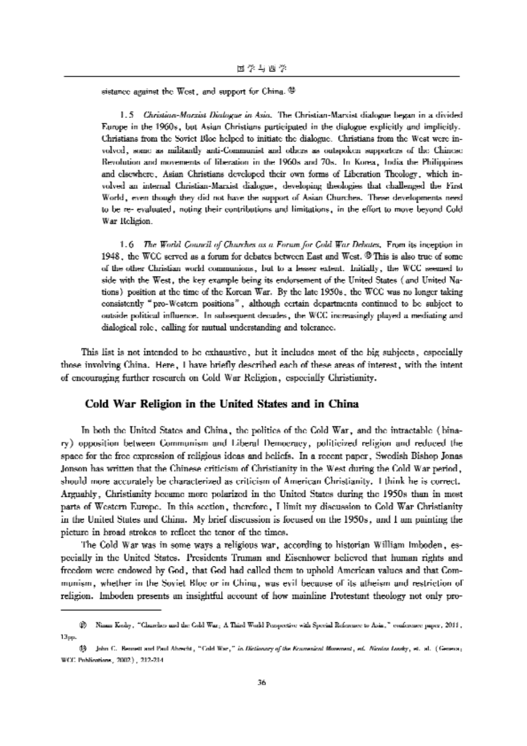sistance against the West, and support for China. @

1.5 Christian-Marxist Dialogue in Asia. The Christian-Marxist dialogue began in a divided Europe in the 1960s, but Asian Christians participated in the dialogue explicitly and implicitly. Christians from the Soviet Bloe helped to initiate the dialogue. Christians from the West were involved, some as militantly anti-Communist and others as outspoken supporters of the Chinese Revolution and movements of liberation in the 1960s and 70s. In Korea, India the Philippines and elsewhere, Asian Christians developed their own forms of Liberation Theology, which involved an internal Christian-Marxist dialogue, developing theologies that challenged the First World, even though they did not have the support of Asian Churches. These developments need to be re-evaluated, noting their contributions and limitations, in the effort to move beyond Cold War Religion.

1.6 The World Council of Churches as a Forum for Cold War Debates, From its inception in 1948, the WCC served as a forum for debates between East and West. <sup>®</sup> This is also true of some of the other Christian world communions, but to a leaser extent. Initially, the WCC seemed to side with the West, the key example being its endorsement of the United States (and United Nations) position at the time of the Korean War. By the late 1950s, the WCC was no longer taking consistently "pro-Western positions", although certain departments continued to be subject to outside political influence. In subsequent decades, the WCC increasingly played a mediating and dialogical role, calling for mutual understanding and tolerance.

This list is not intended to be exhaustive, but it includes most of the hig subjects, especially those involving China. Here, I have briefly described each of these areas of interest, with the intent of encouraging further research on Cold War Religion, especially Christianity.

### Cold War Religion in the United States and in China

In both the United States and China, the politics of the Cold War, and the intractable (binary) opposition between Communism and Liberal Democracy, politicized religion and reduced the space for the free expression of religious ideas and beliefs. In a recent paper, Swedish Bishop Jonas , Jonson has written that the Chinese criticism of Christianity in the West during the Cold War period should more accurately be characterized as criticism of American Christianity. I think he is correct. Arguably, Christianity became more polarized in the United States during the 1950s than in most parts of Western Europe. In this section, therefore, I limit my discussion to Cold War Christianity in the United States and China. My brief discussion is focused on the 1950s, and I am painting the picture in broad strokes to reflect the tenor of the times.

The Cold War was in some ways a religious war, according to historian William Imboden, especially in the United States. Presidents Truman and Eisenhower believed that human rights and freedom were endowed by God, that God had called them to uphold American values and that Communism, whether in the Soviet Bloc or in China, was evil because of its atheism and restriction of religion. Imboden presents an insightful account of how mainline Protestant theology not only pro-

 $|\psi\rangle$  Ninus Kody, "Churches and the Cobl War; A Third World Perspective with Special Reference to Asia," conference paper, 2011, 13рр.

<sup>(3)</sup> John C. Bennett and Paul Aboscht, "Cold War," in Dictionary of the Konvenient Morement, ed. Nicolas Looky, et. al. (Geneva; WCC Publications, 2002.), 212-214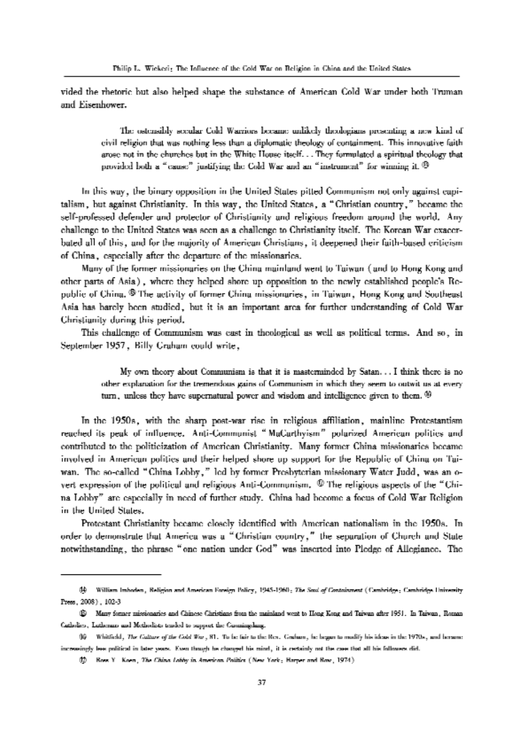vided the rhetoric but also helped shape the substance of American Cold War under both Truman and Eisenhower.

> The ostensibly secular Cold Warriors became unlikely theologians presenting a new kind of civil religion that was nothing less than a diplomatic theology of containment. This innovative faith arose not in the churches but in the White House itself. . .They formulated a spiritual theology that provided both a "cause" justifying the Cold War and an "instrument" for winning it. <sup>®</sup>

in this way, the binary opposition hr the United States pitted Communism not only against capitalism, but against Christianity. In this way, the United States, a "Christian country," became the self-professed defender and protector of Christianity and religious freedom around the world. Any challenge to the United States was seen as a challenge to Christianity itself. The Korean War exacerbated all of this, and for the majority of American Christians, it deepened their faith-based criticism of China, especially after the departure of the missionaries.

Many of the former missionaries on the China mainland went to Taiwan (and to Hong Kong and other parts of Asia), where they helped shore up opposition to the newly established people's Republic of China. ® The activity of former China missionaries, in Taiwan, Hong Kong and Southeast Asia has barely been studied, but it is an important area for further understanding of Cold War Christianity during this period.

This challenge of Communism was cast in theological as well as political terms. And so, in September 1957 , Billy Graham could write,

> My own theory about Communism is that it is masterminded by Satan. . . I think there is no other explanation for the tremendous gains of Communism in which they seem to outwit us at every turn, unless they have supernatural power and wisdom and intelligence given to them. <sup>49</sup>

In the 1950s, with the sharp post-war rise in religious affiliation, mainline Protestantism reached its peak of influence. Anti—Communist "MaCarthyism" polarized American politics and contributed to the politicization of American Christianity. Many former China missionaries became involved in American politics and their helped shore up support for the Republic of China on Taiwan. The so-called "China Lobby," led by former Presbyterian missionary Water Judd, was an overt expression of the political and religious Anti-Communism. ® The religious aspects of the "China Lobby" are especially in need of further study. China had become a focus of Cold War Religion in the United States.

Protestant Christianity became closely identified with American nationalism in the 19505. In order to demonstrate that America was a " Christian country," the separation of Church and State notwithstanding, the phrase " one nation under God" was inserted into Pledge of Allegiance. The

GQ William Imboden, Religion and American Foreign Policy, 1945-1960; The Soul of Containment (Cambridge; Cambridge University Press, 2008), 102-3

 $\circledR$  Many former missionaries and Chinese Christians from the mainland went to Hong Kong and Taiwan after 1951. In Taiwan, Roman Gatholics, Intherans and Metholists tended to support the Gronningdang.

<sup>®</sup> Whitfield, 11.. Cuhue ufthe Cold War, 31. Tu he nana l.l.reRev. Gmlmm, he began In modify his ideas in the 19705, aaa laeaiaie increasingly less political in later years. Even though he changed his mind, it is certainly not the case that all his followers did.

<sup>(1)</sup> Ross Y. Koen, The China Lobby in American Politics (New York; Harper and Row, 1974).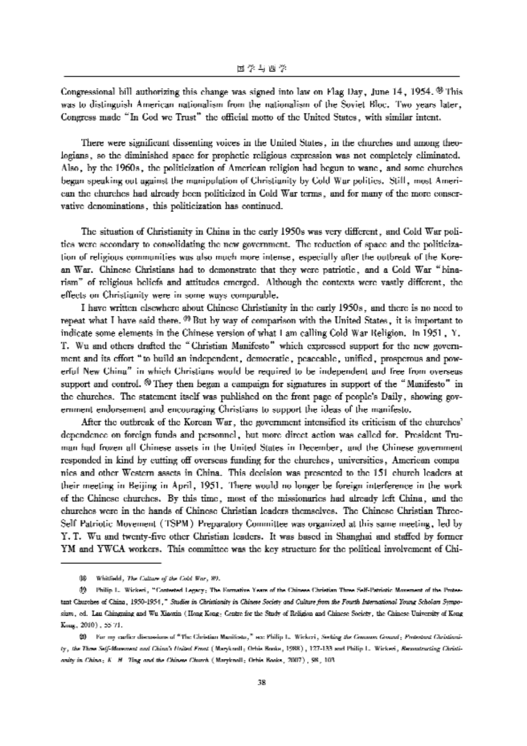Congressional bill authorizing this change was signed into law on Flag Day, June 14 , 1954. ® This was to distinguish American nationalism from the nationalism of the Soviet Bloc. Two years later, Congress made "In God we Trust" the oflicial motto of the United States, with similar intent.

There were significant dissenting voices in the United States, in the churches and among theologians, so the diminished space for prophetic religious expression was not completely eliminated. Also, by the 1960s, the politicization of American religion had begun to wane, and some churches began speaking out against the manipulation of Christianity by Cold War politics. Still, most American the churches had already been politicized in Cold War terms, and for many of the more conservative denominations, this politicization has continued.

The situation of Christianity in China in the early 1950s was very different, and Cold War politics were secondary to consolidating the new government. The reduction of space and the politicization of religious communities was also much more intense, especially after the outbrealr of the Korean War. Chinese Christians had to demonstrate that they were patriotic, and a Cold War " binarism" of religious beliefs and attitudes emerged. Although the contexts were vastly different, the effects on Christianity were in some ways comparable.

I have written elsewhere about Chinese Christianity in the early 1950s, and there is no need to repeat what I have said there. <sup>09</sup> But by way of comparison with the United States, it is important to indicate some elements in the Chinese version of what I am calling Cold War Religion. In 1951 , Y. T. Wu and others drafted the "Christian Manifesto" which expressed support for the new govemment and its effort "to build an independent, democratic, peaceable, unified, prosperous and powerful New China" in which Christians would be required to be independent and free from overseas support and control. @ They then began a campaign for signatures in support of the " Manifesto" in the churches. The statement itself was published on the front page of people's Daily, showing government endorsement and encouraging Christians to support the ideas of the manifesto.

After the outbreak of the Korean War, the government intensified its criticism of the churches' dependence on foreign funds and personnel, but more direct action was called for. President Truman had frozen all Chinese assets in the United States in December, and the Chinese government responded in kind by cutting off overseas funding for the churches, universities, American companies and other Western assets in China. This decision was presented to the 151 church leaders at their meeting in Beijing in April, 1951. There would no longer be foreign interference in the work of the Chinese churches. By this time, most of the missionaries had already left China, and the churches were in the hands of Chinese Christian leaders themselves. The Chinese Christian Three-Self Patriotic Movement (TSPM) Preparatory Committee was organized at this same meeting, led by Y. T. Wu and twenty-five other Christian leaders. It was based in Shanghai and staffed by former YM and YWCA workers. This committee was the key structure for the political involvement of Chi-

<sup>08</sup> Whitfield, The Culture of the Cold War, 89.

<sup>09</sup> Philip 1. Wicken, "Contested Legacy; The Formative Years of the Chinese Christian Three Self-Patriotic Movement of the Protestant Churches of China, 1950-1954," Studies in Christianity in Chinese sium, ed. Lau Chinguing and Wu Xiamin (Hong Kong; Centre for the Study of Religion and Chinese Society, the Chinese University of Kong Knng, 2010), 55-71.

 $20$  For my earlier discussions of "The Christian Manifesta," see Philip 1. Wickeri, Saeking the Gromony Ground: Pmteunat Christianity, the Time Self-Morement and China's Holted Fmat (Maryknnll; Orhis Burks, 1988), 127-133 and Philip L. Wickeri, Remmaruating Christianity in China; K. H. Ting and the Chinese Church (Marylanoll: Ochis Books, 2007), 98, 103.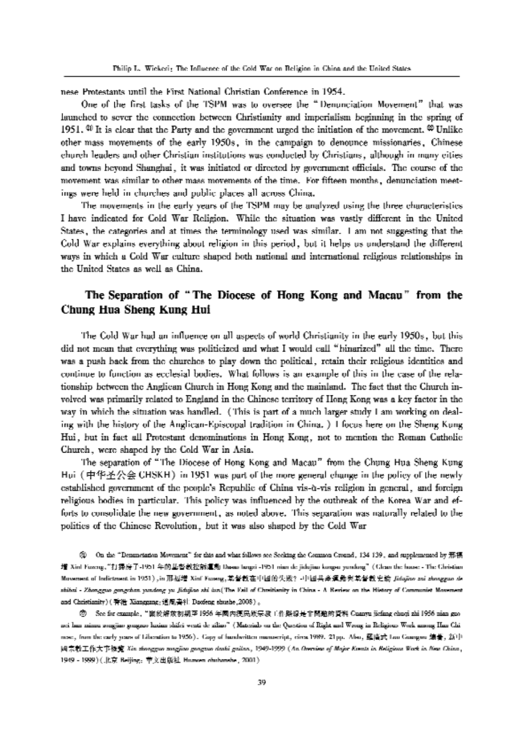nese Protestants until the First National Christian Conference in 1954.

One of the first tasks of the TSPM was to oversee the "Denunciation Movement" that was launched to sever the connection between Christianity and imperialism beginning in the spring of 1951.  $\%$  It is clear that the Party and the government urged the initiation of the movement.  $\%$  Unlike other mass movements of the early 1950s, in the campaign to denounce missionaries, Chinese church leaders and other Christian institutions was conducted by Christians, although in many cities and towns beyond Shanghai, it was initiated or directed by government officials. The course of the movement was similar to other mass movements of the time. For fifteen months, denunciation meetings were held in churches and public places all across China.

The movements in the early years of the TSPM may be analyzed using the three characteristics Ihave indicated for Cold War Religion. While the situation was vastly different in the United States, the categories and at times the terminology used was similar. I am not suggesting that the Cold War explains everything about religion in this period, but it helps us understand the different ways in which a Cold War culture shaped both national and international religious relationships in the United States as well as China.

## The Separation of "The Diocese of Hong Kong and Macao" from the Chung Hua Sheng Kong Hui

The Cold War had an influence on all aspects of world Christianity in the early 1950s, but this did not mean that everything was politicized and what I would call "binarized" all the time. There was a push back from the churches to play down the political, retain their religious identities and continue to function as ecclesial bodies. What follows is an example of this in the case of the relationship between the Anglican Church in Hong Kong and the mainland. The fact that the Church involved was primarily related to England in the Chinese territory of Hong Kong was a key factor in the way in which the situation was handled. (This is part of a much larger study I am working on dealing with the history of the Anglican-Episcopal tradition in China. ) I focus here on the Sheng Kung Hui, but in fact all Protestant denominations in Hong Kong, not to mention the Roman Catholic Church, were shaped by the Cold War in Asia.

The separation of " The Diocese of Hong Kong and Macau" from the Chung Hua Sheng Kung Hui (中华圣公会 CHSKH) in 1951 was part of the more general change in the policy of the newly established government of the people's Republic of China vis-a-vis religion in general, and foreign religious bodies in particular. This policy was influenced by the outbreak of the Korea War and efforts to consolidate the new government, as noted above. This separation was naturally related to the politics of the Chinese Revolution, but it was also shaped by the Cold War

<sup>2</sup>2: On the "Denunciation Movement" for this and what follows see Seeking the Common Cround, 134 139, and supplemented by 邢橋 增 Xinf Fuzeng. "打掃房子-1951 年的基督教控訴這動 Dasse langsi -1951 niun de jidujian kongsu yundung" (Clean the house - The Christian Movement of Indictment in 1951) , in 邢巫增 Xinf Fuoeng, 某督教在中國的失敗? -中國共產運動與其督教史諭 Jidajivo zni zhoeggao de shibai - Zhongguo gongchan yundong yu Jidujiao shi lun(The Fail of Chreitianity in China - A Review on the History of Communist Movement and Christianity) (脊港 Xianggang;道風書社 Daofeng shushe,2008) 。

<sup>®</sup> See for example, "幽於解放初期至1956 年國內護民族宗教工作解現是非關鍵的資料 Caanyu jiefang ebuqi zhi 1956 nian guonei han minzu zongjiao gongzuo luxian shifei wenti de ziliao" (Materials on the Question of Right and Wrong in Religious Work among Han Chimeer, from the early years of Liberation to 1956). Copy of hundwritten manuscript, circa 1989. 21pp. Also, 歷廣式 Luo Guangwu 编著, 新中 國宗教工作大事提案 Kie zhongguo zongjiao gongzuo dashi gallan, 1949-1999 (An Oversien of Major Kents in Religious Wark in New China, 1949 - 1999) (北京 Beijing: 苹文出版社 Hunwen ohubanshe, 2001).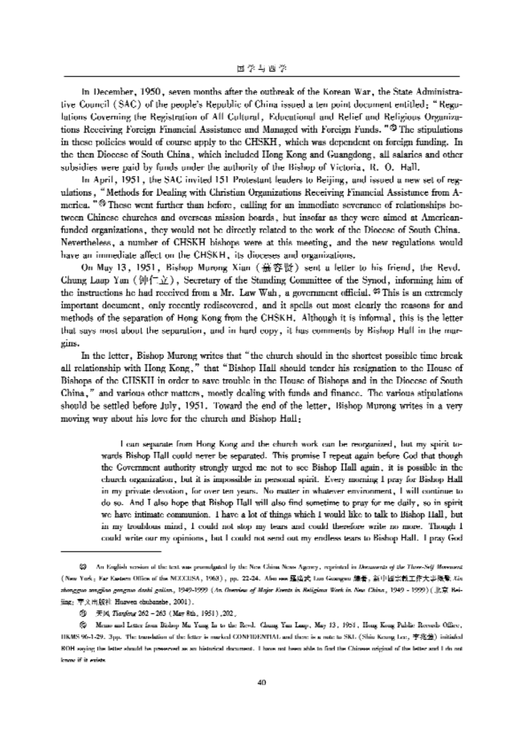In December, 1950, seven months after the outbreak of the Korean War, the State Administrative Council (SAC) of the people's Republic of China issued a ten point document entitled; " Regulations Coveming the Registration of All Cultural, Educational and Relief and Religious Organizations Receiving Foreign Financial Assistance and Managed with Foreign Funds. "@ The stipulations in these policies would of course apply to the CHSKH, which was dependent on foreign funding. In the then Diocese of South China, which included Hong Kong and Guangdong, all salaries and other subsidies were paid by funds under the authority of the Bishop of Victoria, R. 0. Hall.

In April, 1951, the SAC invited 151 Protestant leaders to Beijing, and issued a new set of regulations , "Methods for Dealing with Christian Organizations Receiving Financial Assistance from America. "® These went further than before, calling for an immediate severance of relationships between Chinese churches and overseas mission boards, but insofar as they were aimed at Americanfunded organizations, they would not be directly related to the work of the Diocese of South China. Nevertheless, a number of CHSKH bishops were at this meeting, and the new regulations would have an immediate affect on the CHSKH, its dioceses and organizations.

On May 13, 1951, Bishop Murong Xian (慕容贤) sent a letter to his friend, the Revd. Chung Laap Yan ( $\mathcal{W}(\neg \chi)$ ), Secretary of the Standing Committee of the Synod, informing him of the instructions he had received from a Mr. Law Wah, a government official.  $\mathfrak{S}$  This is an extremely important document, only recently rediscovered, and it spells out most clearly the reasons for and methods of the separation of Hong Kong from the CHSKH. Although it is informal, this is the letter that says most about the separation, and in hard copy, it has comments by Bishop Hall in the margins.

In the letter, Bishop Murong writes that "the church should in the shortest possible time break all relationship with Hong Kong," that "Bishop Hall should tender his resignation to the House of Bishops of the CHSKH in order to save trouble in the House of Bishops and in the Diocese of South China, " and various other matters, mostly dealing with funds and finance. The various stipulations should be settled before July, 1951. Toward the end of the letter, Bishop Murong writes in a very moving way about his love for the church and Bishop Hall;

> <sup>1</sup> can sepsrsre from Hong Kong and the church work can be ieoigsuiseii, but my spirit towards Bishop Hall could never be separated. This promise I repeat again before God that though the Government authority strongly urged me not to see Bishop Hall again, it is possible in the church organization, but it is impossible in personal spirit. Every morning I pray for Bishop Hall in my private devotion , for over ten years. No matter in whatever environment, I will continue to do so. And I also hope that Bishop Hall will also find sometime to pray for me daily, so in spirit we have intimate communion. I have a lot of things which I would like to talk to Bishop Hall, but in my lroublous mind, I could not stop my tears and could therefore write no more. Though I could write our my opinions, but I could not send out my endless tears to Bishop Hall. I pray God

 $\heartsuit$  - An English version of the text was promulgated by the New China News Agency, reprinted in Documents of the Three-Seff. Movement (New York: Far Eastern Office of the NCCCUSA, 1963), pp. 22-24. Also ees 羅廣武 Luo Googso 總署, 新中國宗教工作大事概覧 Xist rhongguo zangitao gangzuo darhi gailan, 1949-1999 (An Overview of Major Events in Religiour Work in New China, 1949 - 1999) (北京 Beijing; 声义出版社 Huawen ehubanshe, 2001).

<sup>@</sup> 天风 Tiongleng 262 - 263 (May 8th, 1951), 202.

 $\otimes$  Memo and Letter from Bishop Mu Yung In to the Revd. Chung Yan Laup, May 13, 1951, Hong Kong Public Romuis Office, HRMS 96-1-29. 3pp. The translation of the fetter is marked CONFIDENTIAL and there is a rote to SKL (Shin Keung Lee, 李兆卷) initialed ROH saying the letter should he preserved as an historical document. I have not heen able to find the Chinese original of the letter and I do not lsnaw if it exists.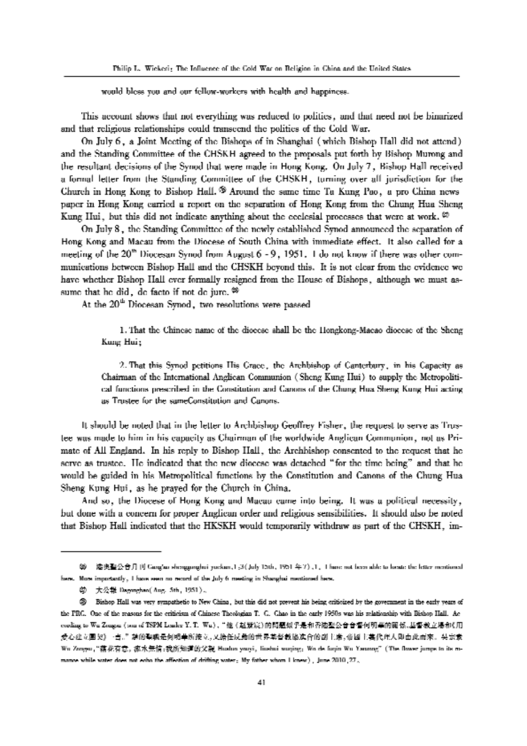would bless you and our fellow-workers with health and happiness.

This account shows that not everything was reduced to politics, and that need not be binarized and that religious relationships could transcend the politics of the Cold War.

On July 6, a Joint Meeting of the Bishops of in Shanghai (which Bishop Hall did not attend) and the Standing Committee of the CHSKH agreed to the proposals put forth by Bishop Murong and the resultant decisions of the Synod that were made in Hong Kong. On July 7, Bishop Hall received a formal letter from the Standing Committee of the CHSKH, turning over all jurisdiction for the Church in Hong Kong to Bishop Hall. <sup> $\otimes$ </sup> Around the same time Ta Kung Pao, a pro China news paper in Hong Kong carried a report on the separation of Hong Kong from the Chung Hua Sheng Kung Hui, but this did not indicate anything about the ecclesial processes that were at work.  $\varnothing$ 

On July 8, the Standing Committee of the newly established Synod announced the separation of Hong Kong and Macau from the Diocese of South China with immediate effect. It also called for a meeting of the 20<sup>th</sup> Diocesan Synod from August 6 - 9, 1951. I do not know if there was other communications between Bishop Hall and the CHSKH beyond this. It is not clear from the evidence we have whether Bishop Hall ever formally resigned from the House of Bishops, although we must assume that he did, de facto if not de jure. <sup>23</sup>

At the 20<sup>th</sup> Diocesan Synod, two resolutions were passed

1. That the Chinese name of the dioecse shall be the Hongkong-Macao dioecse of the Sheng Kung Hui;

2. That this Synod petitions His Crace, the Archbishop of Canterbury, in his Capacity as Chairman of the International Anglican Communion (Sheng Kung Hui) to supply the Metropolitical functions prescribed in the Constitution and Canons of the Chung Hua Sheng Kung Hui acting as Trustee for the sameConstitution and Canons.

It should be noted that in the letter to Archbishop Geoffrey Fisher, the request to serve as Trustee was made to him in his capacity as Chairman of the worldwide Anglican Communion, not as Primate of All England. In his reply to Bishop Hall, the Archbishop consented to the request that he serve as trustee. He indicated that the new diocese was detached "for the time being" and that he would be guided in his Metropolitical functions by the Constitution and Canons of the Chung Hua Sheng Kung Hui, as he prayed for the Church in China.

And so, the Diocese of Hong Kong and Macau came into being. It was a political necessity, but done with a concern for proper Anglican order and religious sensibilities. It should also be noted that Bishop Hall indicated that the HKSKH would temporarily withdraw as part of the CHSKH, im-

第一港奥聖公會月刊 GangSur shenggunghui yuckun.1 ;3 (July 15th., 1951 年7) ,1,I have not been able to locate the letter mentioned here. More importantly, I have seen no record of the July 6 meeting in Shanghai mentioned here.

幼 大公報 Dagmghan(Aug. 5th, 1951).

<sup>50</sup> Bishop Hall was very sympathetic to New China, but this did not prevent his being criticized by the government in the early years of the PRG. One of the reasons for the eriticism of Chinese Theologian T. G. Chao in the early 1950s was his relationship with Bishop Hall. Ac eveling to Wu Zeager (sun of TSPM Leaker Y. T. Wu),"他 (赵默定)的問題似乎是和香港聖公會會督何明華的關係,基督教立場和《用 爱心建立围契》 "吉。" 禁的聖職是何明華所接立。又培任反動的世界基督教協進合的副主席、普國主義代理人即由此而來。 头宗素 Wu Zongyu, "藕花有意。 瘟水無情。我所知道的父親 Hualun yauyi , limshui wuqing, Wo de fuqin Wu Yanang" (The Bower jumps to its mmanos while water does not echo the affection of drifting water; My fother whom I knew), June 2010,  $27<sub>2</sub>$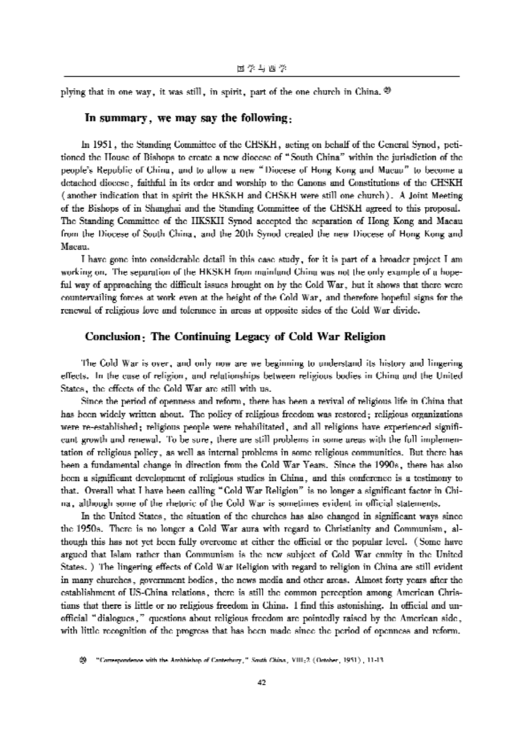plying that in one way, it was still, in spirit, part of the one church in China. @

### In summary, we may say the following;

In 1951, the Standing Committee of the CHSKH, acting on behalf of the General Synod, petitioned the House of Bishops to create a new diocese of " South China" within the jurisdiction of the peoples Republic of China, and to allow a new "Diocese of Hong Kong and Macau" to become a detached diocese, faithful in its order and worship to the Canons and Constitutions of the CHSKH (another indication that in spirit the HKSKH and CHSKH were still one church). A Joint Meeting of the Bishops of in Shanghai and the Standing Committee of the CHSKH agreed to this proposal. The Standing Committee of the HKSKH Synod accepted the separation of Hong Kong and Macau from the Diocese of South China, and the 20th Synod created the new Diocese of Hong Kong and Macau.

l have gone into considerable detail in this case study, for it is part of a broader project I am working on. The separation of the HKSKH from mainland China was not the only example of a hopeful way of approaching the difficult issues brought on by the Cold War, but it shows that there were countervailing forces at work even at the height of the Cold War, and therefore hopeful signs for the renewal of religious love and tolerance in areas at opposite sides of the Cold War divide.

### Conclusion; The Continuing Legacy of Cold War Religion

The Cold War is over, and only now are we beginning to understand its history and lingering effects. hi the case of religion, and relationships between religious bodies in China and the United States, the effects of the Cold War are still with us.

Since the period of openness and reform, there has been a revival of religious life in China that has been widely written about. The policy of religious freedom was restored; religious organizations were re-established; religious people were rehabilitated, and all religions have experienced significant growth and renewal. To be sure, there are still problems in some areas with the full implementation of religious policy, as well as internal problems in some religious communities. But there has been a fundamental change in direction from the Cold War Years. Since the 1990s, there has also been a significant development of religious studies in China, and this conference is a testimony to that. Overall what I have been calling "Cold War Religion" is no longer a significant factor in China, although some of the rhetoric of the Cold War is sometimes evident in official statements.

In the United States, the situation of the churches has also changed in significant ways since the 1950s. There is no longer a Cold War aura with regard to Christianity and Communism, although this has not yet been fully overcome at either the official or the popular level. (Some have argued that Islam rather than Communism is the new subject of Cold War emnity in the United States. ) The lingering effects of Cold War Religion with regard to religion in China are still evident in many churches, government bodies, the news media and other areas. Almost forty years after the establishment of US-China relations, there is still the common perception among American Christians that there is little or no religious freedom in China. 1 find this astonishing. In official and unofficial "dialogues," questions about religious freedom are pointedly raised by the American side, with little recognition of the progress that has been made since the period of openness and reform.

<sup>&</sup>lt;sup>®</sup> Correspondence with the Ambhisbop of Canterbury," South China, VIII;2 (October, 1951), 11-13.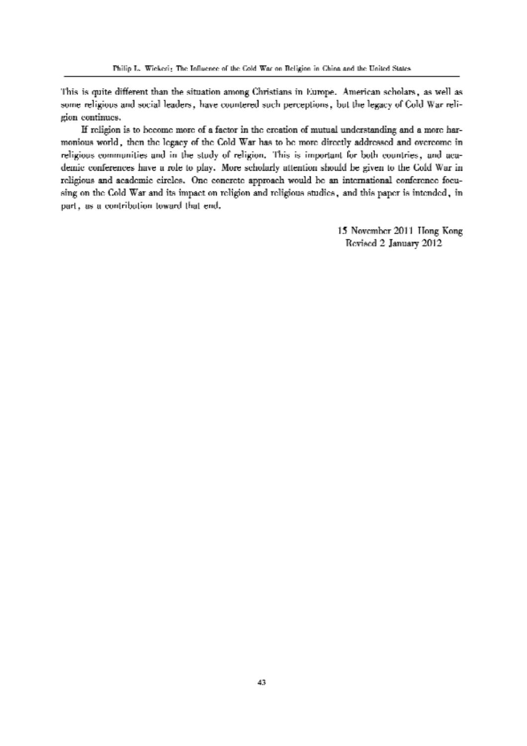This is quite different than the situation among Christians in Europe. American scholars, as well as some religious and social leaders, have countered such perceptions, but the legacy of Cold War religion continues.

If religion is to become more of a factor in the creation of mutual understanding and a more harmonious world, then the legacy of the Cold War has to be more directly addressed and overcome in religious communities and in the study of religion. This is important for both countries, and academic conferences have a role to play. More scholarly attention should be given to the Cold War in religious and academic circles. One concrete approach would he an international conference focusing on the Cold War and its impact on religion and religious studies, and this paper is intended, in part, as a contribution toward that end.

> 15 November 2011 Hong Kong Revised 2 January 2012